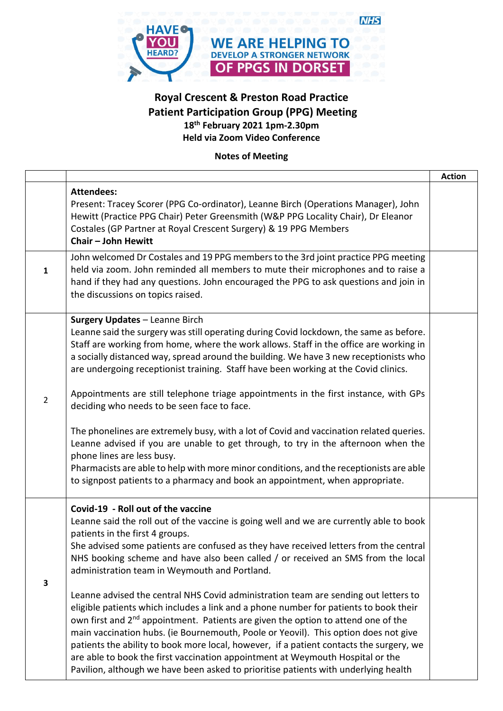

## **Royal Crescent & Preston Road Practice Patient Participation Group (PPG) Meeting 18th February 2021 1pm-2.30pm Held via Zoom Video Conference**

**Notes of Meeting**

|                |                                                                                                                                                                                                                                                                                                                                                                                                                                                                                                                                                                                                                                                                                                                                                                                                                                                                                                                                                                                                                                            | <b>Action</b> |
|----------------|--------------------------------------------------------------------------------------------------------------------------------------------------------------------------------------------------------------------------------------------------------------------------------------------------------------------------------------------------------------------------------------------------------------------------------------------------------------------------------------------------------------------------------------------------------------------------------------------------------------------------------------------------------------------------------------------------------------------------------------------------------------------------------------------------------------------------------------------------------------------------------------------------------------------------------------------------------------------------------------------------------------------------------------------|---------------|
|                | <b>Attendees:</b><br>Present: Tracey Scorer (PPG Co-ordinator), Leanne Birch (Operations Manager), John<br>Hewitt (Practice PPG Chair) Peter Greensmith (W&P PPG Locality Chair), Dr Eleanor<br>Costales (GP Partner at Royal Crescent Surgery) & 19 PPG Members<br>Chair - John Hewitt                                                                                                                                                                                                                                                                                                                                                                                                                                                                                                                                                                                                                                                                                                                                                    |               |
| $\mathbf{1}$   | John welcomed Dr Costales and 19 PPG members to the 3rd joint practice PPG meeting<br>held via zoom. John reminded all members to mute their microphones and to raise a<br>hand if they had any questions. John encouraged the PPG to ask questions and join in<br>the discussions on topics raised.                                                                                                                                                                                                                                                                                                                                                                                                                                                                                                                                                                                                                                                                                                                                       |               |
| $\overline{2}$ | <b>Surgery Updates - Leanne Birch</b><br>Leanne said the surgery was still operating during Covid lockdown, the same as before.<br>Staff are working from home, where the work allows. Staff in the office are working in<br>a socially distanced way, spread around the building. We have 3 new receptionists who<br>are undergoing receptionist training. Staff have been working at the Covid clinics.<br>Appointments are still telephone triage appointments in the first instance, with GPs<br>deciding who needs to be seen face to face.<br>The phonelines are extremely busy, with a lot of Covid and vaccination related queries.<br>Leanne advised if you are unable to get through, to try in the afternoon when the<br>phone lines are less busy.<br>Pharmacists are able to help with more minor conditions, and the receptionists are able<br>to signpost patients to a pharmacy and book an appointment, when appropriate.                                                                                                 |               |
| 3              | Covid-19 - Roll out of the vaccine<br>Leanne said the roll out of the vaccine is going well and we are currently able to book<br>patients in the first 4 groups.<br>She advised some patients are confused as they have received letters from the central<br>NHS booking scheme and have also been called / or received an SMS from the local<br>administration team in Weymouth and Portland.<br>Leanne advised the central NHS Covid administration team are sending out letters to<br>eligible patients which includes a link and a phone number for patients to book their<br>own first and 2 <sup>nd</sup> appointment. Patients are given the option to attend one of the<br>main vaccination hubs. (ie Bournemouth, Poole or Yeovil). This option does not give<br>patients the ability to book more local, however, if a patient contacts the surgery, we<br>are able to book the first vaccination appointment at Weymouth Hospital or the<br>Pavilion, although we have been asked to prioritise patients with underlying health |               |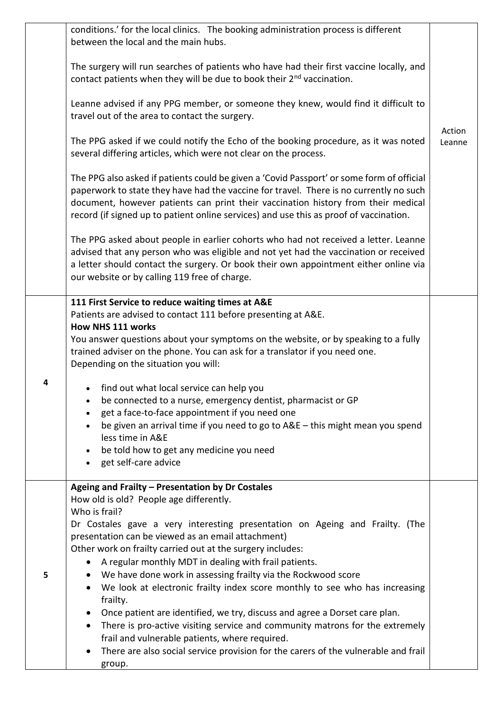|   | conditions.' for the local clinics. The booking administration process is different<br>between the local and the main hubs.                                                                                                                                                                                                                                                                                                                                                                                                                                                                                                                                                                                                                                  |                  |
|---|--------------------------------------------------------------------------------------------------------------------------------------------------------------------------------------------------------------------------------------------------------------------------------------------------------------------------------------------------------------------------------------------------------------------------------------------------------------------------------------------------------------------------------------------------------------------------------------------------------------------------------------------------------------------------------------------------------------------------------------------------------------|------------------|
|   | The surgery will run searches of patients who have had their first vaccine locally, and<br>contact patients when they will be due to book their 2 <sup>nd</sup> vaccination.                                                                                                                                                                                                                                                                                                                                                                                                                                                                                                                                                                                 |                  |
|   | Leanne advised if any PPG member, or someone they knew, would find it difficult to<br>travel out of the area to contact the surgery.                                                                                                                                                                                                                                                                                                                                                                                                                                                                                                                                                                                                                         |                  |
|   | The PPG asked if we could notify the Echo of the booking procedure, as it was noted<br>several differing articles, which were not clear on the process.                                                                                                                                                                                                                                                                                                                                                                                                                                                                                                                                                                                                      | Action<br>Leanne |
|   | The PPG also asked if patients could be given a 'Covid Passport' or some form of official<br>paperwork to state they have had the vaccine for travel. There is no currently no such<br>document, however patients can print their vaccination history from their medical<br>record (if signed up to patient online services) and use this as proof of vaccination.                                                                                                                                                                                                                                                                                                                                                                                           |                  |
|   | The PPG asked about people in earlier cohorts who had not received a letter. Leanne<br>advised that any person who was eligible and not yet had the vaccination or received<br>a letter should contact the surgery. Or book their own appointment either online via<br>our website or by calling 119 free of charge.                                                                                                                                                                                                                                                                                                                                                                                                                                         |                  |
|   | 111 First Service to reduce waiting times at A&E<br>Patients are advised to contact 111 before presenting at A&E.<br><b>How NHS 111 works</b><br>You answer questions about your symptoms on the website, or by speaking to a fully<br>trained adviser on the phone. You can ask for a translator if you need one.<br>Depending on the situation you will:                                                                                                                                                                                                                                                                                                                                                                                                   |                  |
|   | find out what local service can help you<br>be connected to a nurse, emergency dentist, pharmacist or GP<br>get a face-to-face appointment if you need one<br>be given an arrival time if you need to go to A&E - this might mean you spend<br>less time in A&E<br>be told how to get any medicine you need<br>$\bullet$<br>get self-care advice<br>$\bullet$                                                                                                                                                                                                                                                                                                                                                                                                |                  |
| 5 | Ageing and Frailty - Presentation by Dr Costales<br>How old is old? People age differently.<br>Who is frail?<br>Dr Costales gave a very interesting presentation on Ageing and Frailty. (The<br>presentation can be viewed as an email attachment)<br>Other work on frailty carried out at the surgery includes:<br>A regular monthly MDT in dealing with frail patients.<br>$\bullet$<br>We have done work in assessing frailty via the Rockwood score<br>٠<br>We look at electronic frailty index score monthly to see who has increasing<br>$\bullet$<br>frailty.<br>Once patient are identified, we try, discuss and agree a Dorset care plan.<br>$\bullet$<br>There is pro-active visiting service and community matrons for the extremely<br>$\bullet$ |                  |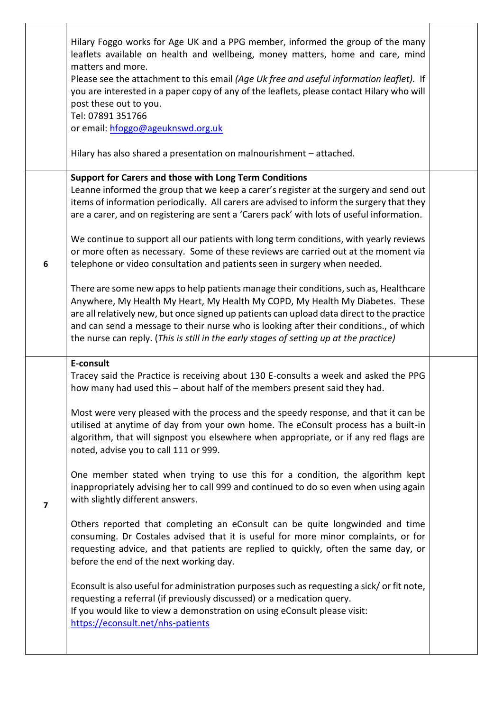|                         | Hilary Foggo works for Age UK and a PPG member, informed the group of the many<br>leaflets available on health and wellbeing, money matters, home and care, mind<br>matters and more.<br>Please see the attachment to this email (Age Uk free and useful information leaflet). If<br>you are interested in a paper copy of any of the leaflets, please contact Hilary who will<br>post these out to you.<br>Tel: 07891 351766<br>or email: hfoggo@ageuknswd.org.uk                                                                                                                                                                                                                                                                                                                |  |
|-------------------------|-----------------------------------------------------------------------------------------------------------------------------------------------------------------------------------------------------------------------------------------------------------------------------------------------------------------------------------------------------------------------------------------------------------------------------------------------------------------------------------------------------------------------------------------------------------------------------------------------------------------------------------------------------------------------------------------------------------------------------------------------------------------------------------|--|
|                         | Hilary has also shared a presentation on malnourishment - attached.                                                                                                                                                                                                                                                                                                                                                                                                                                                                                                                                                                                                                                                                                                               |  |
| 6                       | Support for Carers and those with Long Term Conditions<br>Leanne informed the group that we keep a carer's register at the surgery and send out<br>items of information periodically. All carers are advised to inform the surgery that they<br>are a carer, and on registering are sent a 'Carers pack' with lots of useful information.<br>We continue to support all our patients with long term conditions, with yearly reviews<br>or more often as necessary. Some of these reviews are carried out at the moment via<br>telephone or video consultation and patients seen in surgery when needed.<br>There are some new apps to help patients manage their conditions, such as, Healthcare<br>Anywhere, My Health My Heart, My Health My COPD, My Health My Diabetes. These |  |
|                         | are all relatively new, but once signed up patients can upload data direct to the practice<br>and can send a message to their nurse who is looking after their conditions., of which<br>the nurse can reply. (This is still in the early stages of setting up at the practice)<br>E-consult                                                                                                                                                                                                                                                                                                                                                                                                                                                                                       |  |
|                         | Tracey said the Practice is receiving about 130 E-consults a week and asked the PPG<br>how many had used this - about half of the members present said they had.                                                                                                                                                                                                                                                                                                                                                                                                                                                                                                                                                                                                                  |  |
|                         | Most were very pleased with the process and the speedy response, and that it can be<br>utilised at anytime of day from your own home. The eConsult process has a built-in<br>algorithm, that will signpost you elsewhere when appropriate, or if any red flags are<br>noted, advise you to call 111 or 999.                                                                                                                                                                                                                                                                                                                                                                                                                                                                       |  |
| $\overline{\mathbf{z}}$ | One member stated when trying to use this for a condition, the algorithm kept<br>inappropriately advising her to call 999 and continued to do so even when using again<br>with slightly different answers.                                                                                                                                                                                                                                                                                                                                                                                                                                                                                                                                                                        |  |
|                         | Others reported that completing an eConsult can be quite longwinded and time<br>consuming. Dr Costales advised that it is useful for more minor complaints, or for<br>requesting advice, and that patients are replied to quickly, often the same day, or<br>before the end of the next working day.                                                                                                                                                                                                                                                                                                                                                                                                                                                                              |  |
|                         | Econsult is also useful for administration purposes such as requesting a sick/ or fit note,<br>requesting a referral (if previously discussed) or a medication query.<br>If you would like to view a demonstration on using eConsult please visit:<br>https://econsult.net/nhs-patients                                                                                                                                                                                                                                                                                                                                                                                                                                                                                           |  |
|                         |                                                                                                                                                                                                                                                                                                                                                                                                                                                                                                                                                                                                                                                                                                                                                                                   |  |